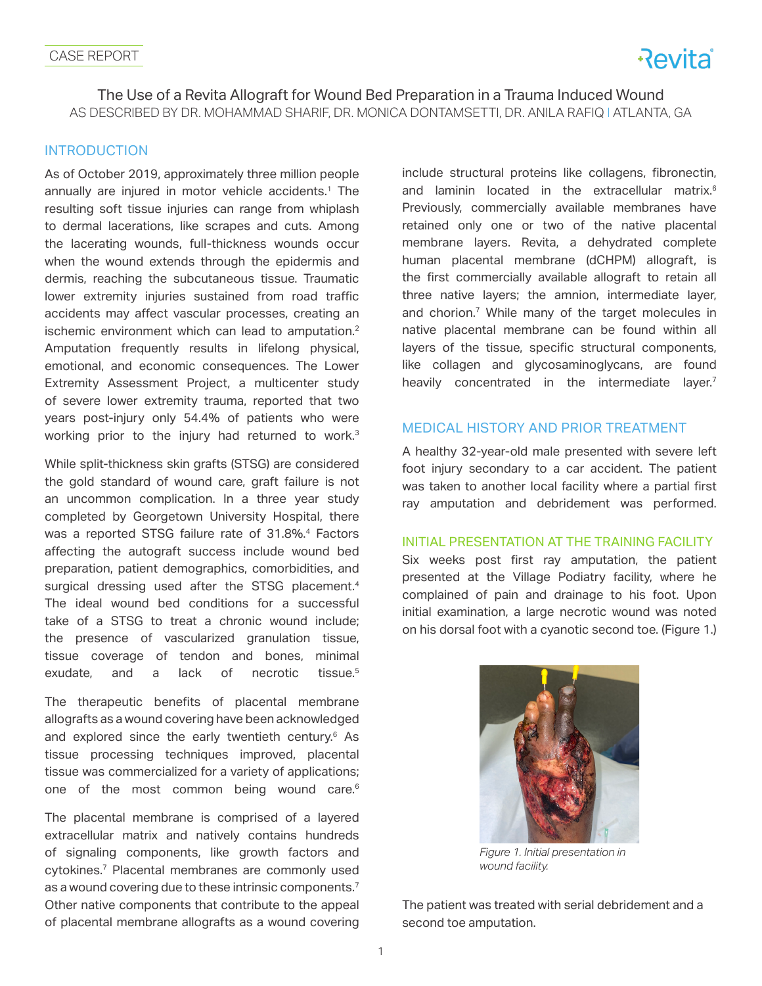AS DESCRIBED BY DR. MOHAMMAD SHARIF, DR. MONICA DONTAMSETTI, DR. ANILA RAFIQ I ATLANTA, GA The Use of a Revita Allograft for Wound Bed Preparation in a Trauma Induced Wound

## INTRODUCTION

As of October 2019, approximately three million people annually are injured in motor vehicle accidents.<sup>1</sup> The resulting soft tissue injuries can range from whiplash to dermal lacerations, like scrapes and cuts. Among the lacerating wounds, full-thickness wounds occur when the wound extends through the epidermis and dermis, reaching the subcutaneous tissue. Traumatic lower extremity injuries sustained from road traffic accidents may affect vascular processes, creating an ischemic environment which can lead to amputation.<sup>2</sup> Amputation frequently results in lifelong physical, emotional, and economic consequences. The Lower Extremity Assessment Project, a multicenter study of severe lower extremity trauma, reported that two years post-injury only 54.4% of patients who were working prior to the injury had returned to work.<sup>3</sup>

While split-thickness skin grafts (STSG) are considered the gold standard of wound care, graft failure is not an uncommon complication. In a three year study completed by Georgetown University Hospital, there was a reported STSG failure rate of 31.8%.<sup>4</sup> Factors affecting the autograft success include wound bed preparation, patient demographics, comorbidities, and surgical dressing used after the STSG placement.<sup>4</sup> The ideal wound bed conditions for a successful take of a STSG to treat a chronic wound include; the presence of vascularized granulation tissue, tissue coverage of tendon and bones, minimal exudate, and a lack of necrotic tissue.<sup>5</sup>

The therapeutic benefits of placental membrane allografts as a wound covering have been acknowledged and explored since the early twentieth century.<sup>6</sup> As tissue processing techniques improved, placental tissue was commercialized for a variety of applications; one of the most common being wound care.<sup>6</sup>

The placental membrane is comprised of a layered extracellular matrix and natively contains hundreds of signaling components, like growth factors and cytokines.<sup>7</sup> Placental membranes are commonly used as a wound covering due to these intrinsic components.<sup>7</sup> Other native components that contribute to the appeal of placental membrane allografts as a wound covering

include structural proteins like collagens, fibronectin, and laminin located in the extracellular matrix.<sup>6</sup> Previously, commercially available membranes have retained only one or two of the native placental membrane layers. Revita, a dehydrated complete human placental membrane (dCHPM) allograft, is the first commercially available allograft to retain all three native layers; the amnion, intermediate layer, and chorion.7 While many of the target molecules in native placental membrane can be found within all layers of the tissue, specific structural components, like collagen and glycosaminoglycans, are found heavily concentrated in the intermediate layer.7

# MEDICAL HISTORY AND PRIOR TREATMENT

A healthy 32-year-old male presented with severe left foot injury secondary to a car accident. The patient was taken to another local facility where a partial first ray amputation and debridement was performed.

## INITIAL PRESENTATION AT THE TRAINING FACILITY

Six weeks post first ray amputation, the patient presented at the Village Podiatry facility, where he complained of pain and drainage to his foot. Upon initial examination, a large necrotic wound was noted on his dorsal foot with a cyanotic second toe. (Figure 1.)



*Figure 1. Initial presentation in wound facility.*

The patient was treated with serial debridement and a second toe amputation.